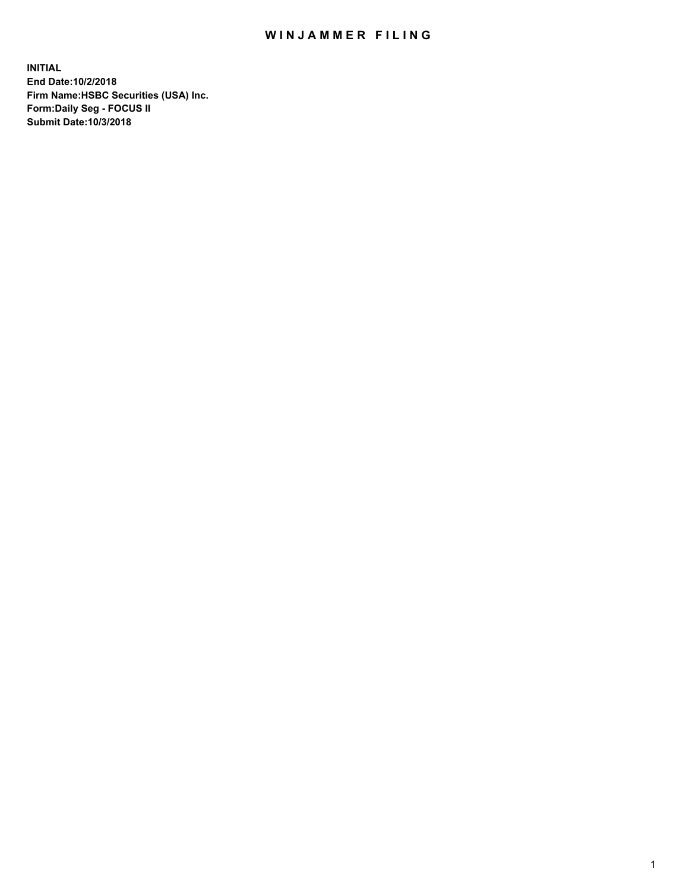## WIN JAMMER FILING

**INITIAL End Date:10/2/2018 Firm Name:HSBC Securities (USA) Inc. Form:Daily Seg - FOCUS II Submit Date:10/3/2018**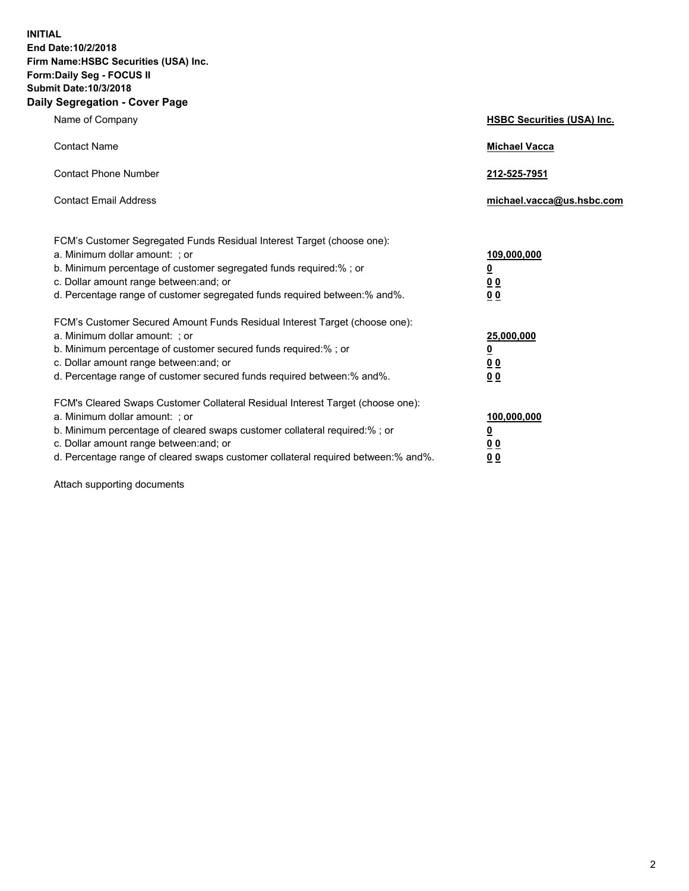**INITIAL End Date:10/2/2018 Firm Name:HSBC Securities (USA) Inc. Form:Daily Seg - FOCUS II Submit Date:10/3/2018 Daily Segregation - Cover Page**

| Name of Company                                                                                                                                                                                                                                                                                                                | <b>HSBC Securities (USA) Inc.</b>                                          |
|--------------------------------------------------------------------------------------------------------------------------------------------------------------------------------------------------------------------------------------------------------------------------------------------------------------------------------|----------------------------------------------------------------------------|
| <b>Contact Name</b>                                                                                                                                                                                                                                                                                                            | <b>Michael Vacca</b>                                                       |
| <b>Contact Phone Number</b>                                                                                                                                                                                                                                                                                                    | 212-525-7951                                                               |
| <b>Contact Email Address</b>                                                                                                                                                                                                                                                                                                   | michael.vacca@us.hsbc.com                                                  |
| FCM's Customer Segregated Funds Residual Interest Target (choose one):<br>a. Minimum dollar amount: ; or<br>b. Minimum percentage of customer segregated funds required:%; or<br>c. Dollar amount range between: and; or<br>d. Percentage range of customer segregated funds required between:% and%.                          | 109,000,000<br>$\overline{\mathbf{0}}$<br>0 <sub>0</sub><br>0 <sub>0</sub> |
| FCM's Customer Secured Amount Funds Residual Interest Target (choose one):<br>a. Minimum dollar amount: ; or<br>b. Minimum percentage of customer secured funds required:%; or<br>c. Dollar amount range between: and; or<br>d. Percentage range of customer secured funds required between:% and%.                            | 25,000,000<br>$\overline{\mathbf{0}}$<br>0 <sub>0</sub><br>0 <sub>0</sub>  |
| FCM's Cleared Swaps Customer Collateral Residual Interest Target (choose one):<br>a. Minimum dollar amount: ; or<br>b. Minimum percentage of cleared swaps customer collateral required:% ; or<br>c. Dollar amount range between: and; or<br>d. Percentage range of cleared swaps customer collateral required between:% and%. | 100,000,000<br>0<br>0 <sub>0</sub><br>0 <sub>0</sub>                       |

Attach supporting documents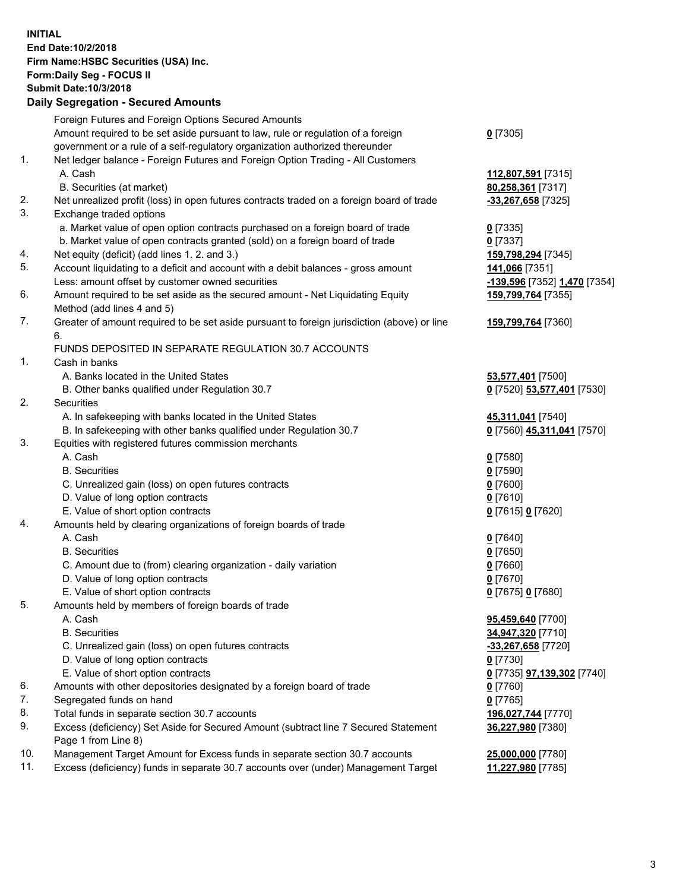**INITIAL End Date:10/2/2018 Firm Name:HSBC Securities (USA) Inc. Form:Daily Seg - FOCUS II Submit Date:10/3/2018 Daily Segregation - Secured Amounts** Foreign Futures and Foreign Options Secured Amounts Amount required to be set aside pursuant to law, rule or regulation of a foreign government or a rule of a self-regulatory organization authorized thereunder 1. Net ledger balance - Foreign Futures and Foreign Option Trading - All Customers A. Cash **112,807,591** [7315] B. Securities (at market) **80,258,361** [7317] 2. Net unrealized profit (loss) in open futures contracts traded on a foreign board of trade **-33,267,658** [7325] 3. Exchange traded options a. Market value of open option contracts purchased on a foreign board of trade **0** [7335] b. Market value of open contracts granted (sold) on a foreign board of trade **0** [7337] 4. Net equity (deficit) (add lines 1. 2. and 3.) **159,798,294** [7345] 5. Account liquidating to a deficit and account with a debit balances - gross amount **141,066** [7351] Less: amount offset by customer owned securities **-139,596** [7352] **1,470** [7354] 6. Amount required to be set aside as the secured amount - Net Liquidating Equity Method (add lines 4 and 5) 7. Greater of amount required to be set aside pursuant to foreign jurisdiction (above) or line 6.

## FUNDS DEPOSITED IN SEPARATE REGULATION 30.7 ACCOUNTS

1. Cash in banks

- A. Banks located in the United States **53,577,401** [7500]
- B. Other banks qualified under Regulation 30.7 **0** [7520] **53,577,401** [7530]
- 2. Securities
	- A. In safekeeping with banks located in the United States **45,311,041** [7540]
	- B. In safekeeping with other banks qualified under Regulation 30.7 **0** [7560] **45,311,041** [7570]
- 3. Equities with registered futures commission merchants
	-
	- B. Securities **0** [7590]
	- C. Unrealized gain (loss) on open futures contracts **0** [7600]
	- D. Value of long option contracts **0** [7610]
	- E. Value of short option contracts **0** [7615] **0** [7620]
- 4. Amounts held by clearing organizations of foreign boards of trade
	- A. Cash **0** [7640]
	- B. Securities **0** [7650]
	- C. Amount due to (from) clearing organization daily variation **0** [7660]
	- D. Value of long option contracts **0** [7670]
	- E. Value of short option contracts **0** [7675] **0** [7680]
- 5. Amounts held by members of foreign boards of trade
	-
	-
	- C. Unrealized gain (loss) on open futures contracts **-33,267,658** [7720]
	- D. Value of long option contracts **0** [7730]
	- E. Value of short option contracts **0** [7735] **97,139,302** [7740]
- 6. Amounts with other depositories designated by a foreign board of trade **0** [7760]
- 7. Segregated funds on hand **0** [7765]
- 8. Total funds in separate section 30.7 accounts **196,027,744** [7770]
- 9. Excess (deficiency) Set Aside for Secured Amount (subtract line 7 Secured Statement Page 1 from Line 8)
- 10. Management Target Amount for Excess funds in separate section 30.7 accounts **25,000,000** [7780]
- 11. Excess (deficiency) funds in separate 30.7 accounts over (under) Management Target **11,227,980** [7785]

**159,799,764** [7355] **159,799,764** [7360] A. Cash **0** [7580] A. Cash **95,459,640** [7700] B. Securities **34,947,320** [7710] **36,227,980** [7380]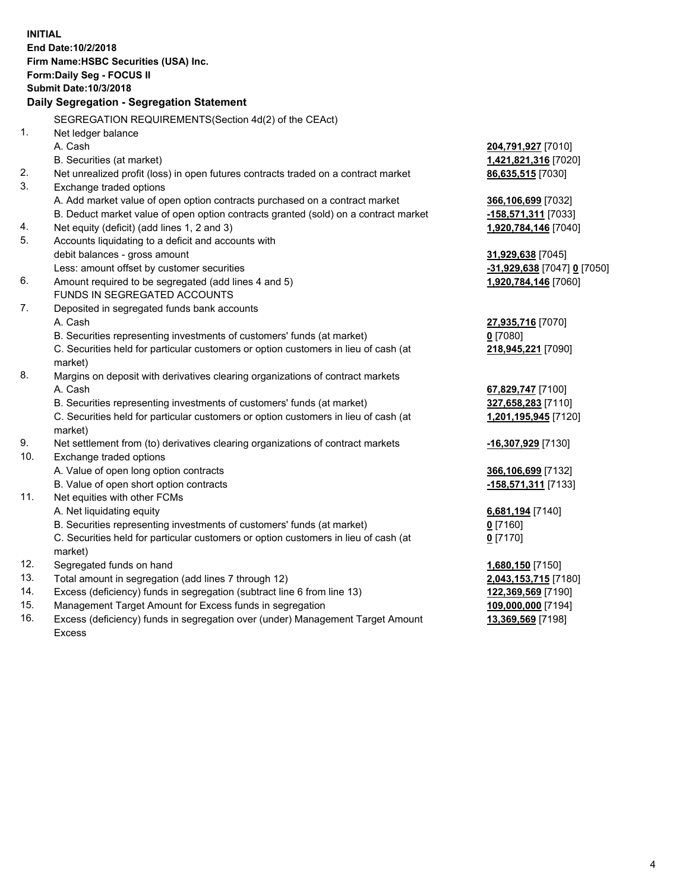| <b>INITIAL</b> | End Date: 10/2/2018                                                                            |                             |
|----------------|------------------------------------------------------------------------------------------------|-----------------------------|
|                | Firm Name: HSBC Securities (USA) Inc.                                                          |                             |
|                | Form: Daily Seg - FOCUS II                                                                     |                             |
|                | <b>Submit Date: 10/3/2018</b>                                                                  |                             |
|                | Daily Segregation - Segregation Statement                                                      |                             |
|                |                                                                                                |                             |
|                | SEGREGATION REQUIREMENTS(Section 4d(2) of the CEAct)                                           |                             |
| 1.             | Net ledger balance                                                                             |                             |
|                | A. Cash                                                                                        | 204,791,927 [7010]          |
|                | B. Securities (at market)                                                                      | 1,421,821,316 [7020]        |
| 2.             | Net unrealized profit (loss) in open futures contracts traded on a contract market             | 86,635,515 [7030]           |
| 3.             | Exchange traded options                                                                        |                             |
|                | A. Add market value of open option contracts purchased on a contract market                    | 366,106,699 [7032]          |
|                | B. Deduct market value of open option contracts granted (sold) on a contract market            | -158,571,311 [7033]         |
| 4.             | Net equity (deficit) (add lines 1, 2 and 3)                                                    | 1,920,784,146 [7040]        |
| 5.             | Accounts liquidating to a deficit and accounts with                                            |                             |
|                | debit balances - gross amount                                                                  | 31,929,638 [7045]           |
|                | Less: amount offset by customer securities                                                     | -31,929,638 [7047] 0 [7050] |
| 6.             | Amount required to be segregated (add lines 4 and 5)                                           | 1,920,784,146 [7060]        |
|                | FUNDS IN SEGREGATED ACCOUNTS                                                                   |                             |
| 7.             | Deposited in segregated funds bank accounts                                                    |                             |
|                | A. Cash                                                                                        | 27,935,716 [7070]           |
|                | B. Securities representing investments of customers' funds (at market)                         | $0$ [7080]                  |
|                | C. Securities held for particular customers or option customers in lieu of cash (at<br>market) | 218,945,221 [7090]          |
| 8.             | Margins on deposit with derivatives clearing organizations of contract markets                 |                             |
|                | A. Cash                                                                                        | 67,829,747 [7100]           |
|                | B. Securities representing investments of customers' funds (at market)                         | 327,658,283 [7110]          |
|                | C. Securities held for particular customers or option customers in lieu of cash (at<br>market) | 1,201,195,945 [7120]        |
| 9.             | Net settlement from (to) derivatives clearing organizations of contract markets                | -16,307,929 [7130]          |
| 10.            | Exchange traded options                                                                        |                             |
|                | A. Value of open long option contracts                                                         | 366,106,699 [7132]          |
|                | B. Value of open short option contracts                                                        | -158,571,311 [7133]         |
| 11.            | Net equities with other FCMs                                                                   |                             |
|                | A. Net liquidating equity                                                                      | 6,681,194 [7140]            |
|                | B. Securities representing investments of customers' funds (at market)                         | 0 [7160]                    |
|                | C. Securities held for particular customers or option customers in lieu of cash (at            | $0$ [7170]                  |
|                | market)                                                                                        |                             |
| 12.            | Segregated funds on hand                                                                       | 1,680,150 [7150]            |
| 13.            | Total amount in segregation (add lines 7 through 12)                                           | 2,043,153,715 [7180]        |
| 14.            | Excess (deficiency) funds in segregation (subtract line 6 from line 13)                        | 122,369,569 [7190]          |
| 15.            | Management Target Amount for Excess funds in segregation                                       | 109,000,000 [7194]          |

16. Excess (deficiency) funds in segregation over (under) Management Target Amount Excess

**13,369,569** [7198]